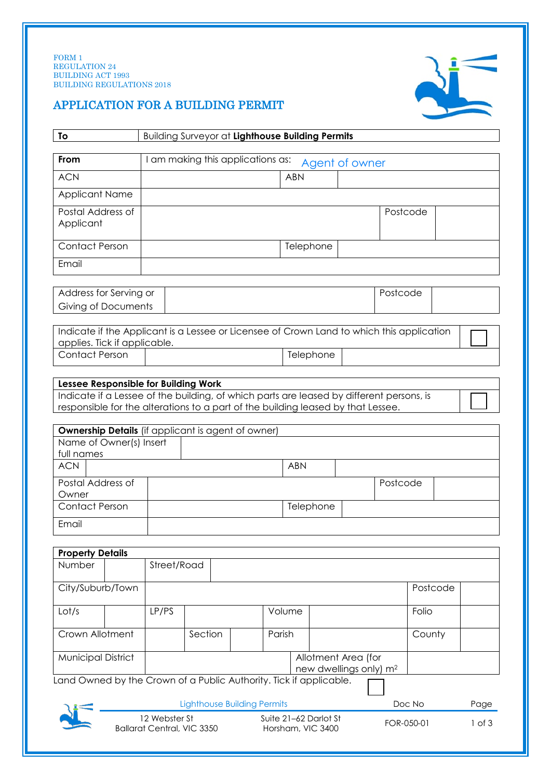

# APPLICATION FOR A BUILDING PERMIT

| To                                                                                                                                                                                                                                                                                 | Building Surveyor at Lighthouse Building Permits    |         |  |            |            |            |  |          |          |  |
|------------------------------------------------------------------------------------------------------------------------------------------------------------------------------------------------------------------------------------------------------------------------------------|-----------------------------------------------------|---------|--|------------|------------|------------|--|----------|----------|--|
| From                                                                                                                                                                                                                                                                               | I am making this applications as:<br>Agent of owner |         |  |            |            |            |  |          |          |  |
| <b>ACN</b>                                                                                                                                                                                                                                                                         | <b>ABN</b>                                          |         |  |            |            |            |  |          |          |  |
| <b>Applicant Name</b>                                                                                                                                                                                                                                                              |                                                     |         |  |            |            |            |  |          |          |  |
| Postal Address of<br>Applicant                                                                                                                                                                                                                                                     |                                                     |         |  |            |            |            |  | Postcode |          |  |
| <b>Contact Person</b>                                                                                                                                                                                                                                                              |                                                     |         |  |            |            | Telephone  |  |          |          |  |
| Email                                                                                                                                                                                                                                                                              |                                                     |         |  |            |            |            |  |          |          |  |
| Address for Serving or<br>Giving of Documents                                                                                                                                                                                                                                      |                                                     |         |  |            |            | Postcode   |  |          |          |  |
| Indicate if the Applicant is a Lessee or Licensee of Crown Land to which this application<br>applies. Tick if applicable.                                                                                                                                                          |                                                     |         |  |            |            |            |  |          |          |  |
| <b>Contact Person</b>                                                                                                                                                                                                                                                              |                                                     |         |  |            |            | Telephone  |  |          |          |  |
| Indicate if a Lessee of the building, of which parts are leased by different persons, is<br>responsible for the alterations to a part of the building leased by that Lessee.<br><b>Ownership Details</b> (if applicant is agent of owner)<br>Name of Owner(s) Insert<br>full names |                                                     |         |  |            |            |            |  |          |          |  |
| <b>ACN</b>                                                                                                                                                                                                                                                                         |                                                     |         |  |            | <b>ABN</b> |            |  |          |          |  |
| Postal Address of<br>Owner                                                                                                                                                                                                                                                         |                                                     |         |  |            |            |            |  | Postcode |          |  |
| <b>Contact Person</b>                                                                                                                                                                                                                                                              |                                                     |         |  |            |            | Telephone  |  |          |          |  |
| Email                                                                                                                                                                                                                                                                              |                                                     |         |  |            |            |            |  |          |          |  |
| <b>Property Details</b>                                                                                                                                                                                                                                                            |                                                     |         |  |            |            |            |  |          |          |  |
| Number                                                                                                                                                                                                                                                                             | Street/Road                                         |         |  |            |            |            |  |          |          |  |
| City/Suburb/Town                                                                                                                                                                                                                                                                   |                                                     |         |  |            |            |            |  |          | Postcode |  |
| Lot/s                                                                                                                                                                                                                                                                              | LP/PS                                               | Volume  |  |            | Folio      |            |  |          |          |  |
| Crown Allotment                                                                                                                                                                                                                                                                    |                                                     | Section |  | Parish     |            |            |  |          | County   |  |
| <b>Municipal District</b><br>Allotment Area (for<br>new dwellings only) m <sup>2</sup><br>Land Owned by the Crown of a Public Authority. Tick if applicable.                                                                                                                       |                                                     |         |  |            |            |            |  |          |          |  |
|                                                                                                                                                                                                                                                                                    | <b>Lighthouse Building Permits</b>                  |         |  |            |            | Doc No     |  |          |          |  |
| 12 Webster St<br>Suite 21-62 Darlot St<br><b>Ballarat Central, VIC 3350</b><br>Horsham, VIC 3400                                                                                                                                                                                   |                                                     |         |  | FOR-050-01 |            | $1$ of $3$ |  |          |          |  |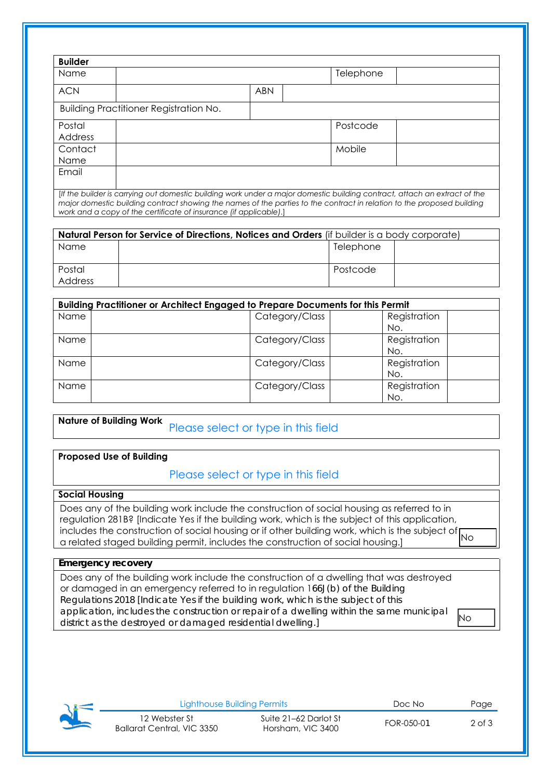| <b>Builder</b>                         |                                                                                                                           |            |  |           |  |
|----------------------------------------|---------------------------------------------------------------------------------------------------------------------------|------------|--|-----------|--|
| <b>Name</b>                            |                                                                                                                           |            |  | Telephone |  |
| <b>ACN</b>                             |                                                                                                                           | <b>ABN</b> |  |           |  |
| Building Practitioner Registration No. |                                                                                                                           |            |  |           |  |
| Postal                                 |                                                                                                                           |            |  | Postcode  |  |
| Address                                |                                                                                                                           |            |  |           |  |
| Contact                                |                                                                                                                           |            |  | Mobile    |  |
| Name                                   |                                                                                                                           |            |  |           |  |
| Email                                  |                                                                                                                           |            |  |           |  |
|                                        |                                                                                                                           |            |  |           |  |
|                                        | [If the builder is carrying out domestic building work under a major domestic building contract, attach an extract of the |            |  |           |  |

*major domestic building contract showing the names of the parties to the contract in relation to the proposed building work and a copy of the certificate of insurance (if applicable)*.]

| Natural Person for Service of Directions, Notices and Orders (if builder is a body corporate) |  |           |  |  |
|-----------------------------------------------------------------------------------------------|--|-----------|--|--|
| Name                                                                                          |  | Telephone |  |  |
|                                                                                               |  |           |  |  |
| Postal                                                                                        |  | Postcode  |  |  |
| <b>Address</b>                                                                                |  |           |  |  |

| Building Practitioner or Architect Engaged to Prepare Documents for this Permit |                |              |  |  |
|---------------------------------------------------------------------------------|----------------|--------------|--|--|
| <b>Name</b>                                                                     | Category/Class | Registration |  |  |
|                                                                                 |                | No.          |  |  |
| Name                                                                            | Category/Class | Registration |  |  |
|                                                                                 |                | No.          |  |  |
| Name                                                                            | Category/Class | Registration |  |  |
|                                                                                 |                | No.          |  |  |
| Name                                                                            | Category/Class | Registration |  |  |
|                                                                                 |                | No.          |  |  |

**Nature of Building Work**  Please select or type in this field

#### **Proposed Use of Building**

## Please select or type in this field

### **Social Housing**

Does any of the building work include the construction of social housing as referred to in regulation 281B? [Indicate Yes if the building work, which is the subject of this application, includes the construction of social housing or if other building work, which is the subject of No a related staged building permit, includes the construction of social housing.]

### **Emergency recovery**

Does any of the building work include the construction of a dwelling that was destroyed or damaged in an emergency referred to in regulation 166J(b) of the Building Regulations 2018 [Indicate Yes if the building work, which is the subject of this application, includes the construction or repair of a dwelling within the same municipal district as the destroyed or damaged residential dwelling.] No



Lighthouse Building Permits Doc No Page 12 Webster St Ballarat Central, VIC 3350 Suite 21–62 Darlot St Suite 21–62 Dariot 31<br>Horsham, VIC 3400 FOR-050-01 2 of 3